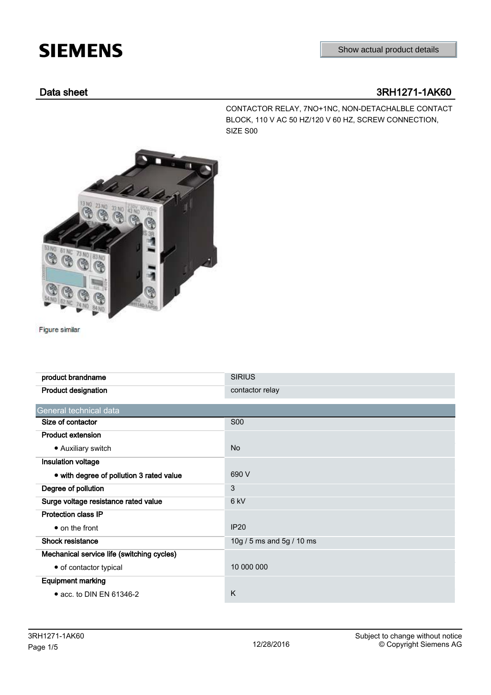# **SIEMENS**

### Data sheet 3RH1271-1AK60

CONTACTOR RELAY, 7NO+1NC, NON-DETACHALBLE CONTACT BLOCK, 110 V AC 50 HZ/120 V 60 HZ, SCREW CONNECTION, SIZE S00



Figure similar

| product brandname                          | <b>SIRIUS</b>             |  |  |  |
|--------------------------------------------|---------------------------|--|--|--|
| <b>Product designation</b>                 | contactor relay           |  |  |  |
| General technical data                     |                           |  |  |  |
| Size of contactor                          | <b>S00</b>                |  |  |  |
| <b>Product extension</b>                   |                           |  |  |  |
| • Auxiliary switch                         | <b>No</b>                 |  |  |  |
| Insulation voltage                         |                           |  |  |  |
| • with degree of pollution 3 rated value   | 690 V                     |  |  |  |
| Degree of pollution                        | 3                         |  |  |  |
| Surge voltage resistance rated value       | 6 kV                      |  |  |  |
| <b>Protection class IP</b>                 |                           |  |  |  |
| $\bullet$ on the front                     | <b>IP20</b>               |  |  |  |
| <b>Shock resistance</b>                    | 10g / 5 ms and 5g / 10 ms |  |  |  |
| Mechanical service life (switching cycles) |                           |  |  |  |
| • of contactor typical                     | 10 000 000                |  |  |  |
| <b>Equipment marking</b>                   |                           |  |  |  |
| • acc. to DIN EN 61346-2                   | K                         |  |  |  |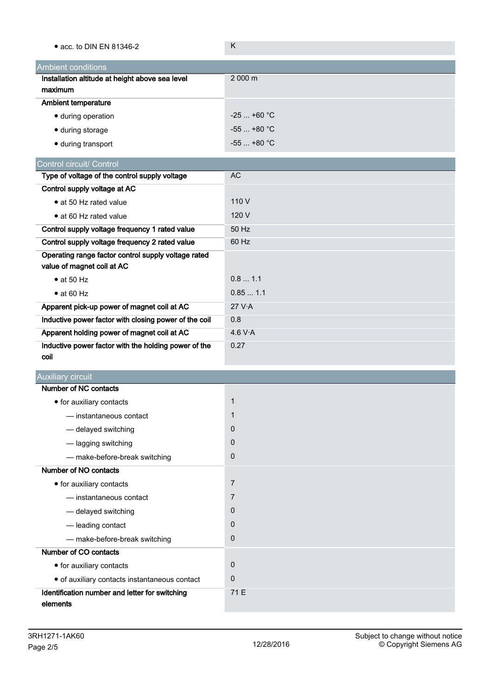| • acc. to DIN EN 81346-2                              | K              |
|-------------------------------------------------------|----------------|
| Ambient conditions                                    |                |
| Installation altitude at height above sea level       | 2 000 m        |
| maximum                                               |                |
| <b>Ambient temperature</b>                            |                |
| · during operation                                    | $-25$ +60 °C   |
| · during storage                                      | $-55$ +80 °C   |
| · during transport                                    | $-55$ +80 °C   |
| Control circuit/ Control                              |                |
| Type of voltage of the control supply voltage         | <b>AC</b>      |
| Control supply voltage at AC                          |                |
| • at 50 Hz rated value                                | 110 V          |
| • at 60 Hz rated value                                | 120 V          |
| Control supply voltage frequency 1 rated value        | 50 Hz          |
| Control supply voltage frequency 2 rated value        | 60 Hz          |
| Operating range factor control supply voltage rated   |                |
| value of magnet coil at AC                            |                |
| $\bullet$ at 50 Hz                                    | 0.81.1         |
| $\bullet$ at 60 Hz                                    | 0.851.1        |
| Apparent pick-up power of magnet coil at AC           | 27 V.A         |
| Inductive power factor with closing power of the coil | 0.8            |
| Apparent holding power of magnet coil at AC           | 4.6 V·A        |
| Inductive power factor with the holding power of the  | 0.27           |
| coil                                                  |                |
| <b>Auxiliary circuit</b>                              |                |
| Number of NC contacts                                 |                |
| • for auxiliary contacts                              | $\mathbf{1}$   |
| - instantaneous contact                               | 1              |
| - delayed switching                                   | 0              |
| - lagging switching                                   | 0              |
| - make-before-break switching                         | $\pmb{0}$      |
| Number of NO contacts                                 |                |
| • for auxiliary contacts                              | $\overline{7}$ |
| - instantaneous contact                               | 7              |
| - delayed switching                                   | $\mathbf 0$    |
| - leading contact                                     | 0              |
| - make-before-break switching                         | $\pmb{0}$      |
| Number of CO contacts                                 |                |
| • for auxiliary contacts                              | 0              |
| · of auxiliary contacts instantaneous contact         | $\mathbf 0$    |
| Identification number and letter for switching        | 71 E           |
| elements                                              |                |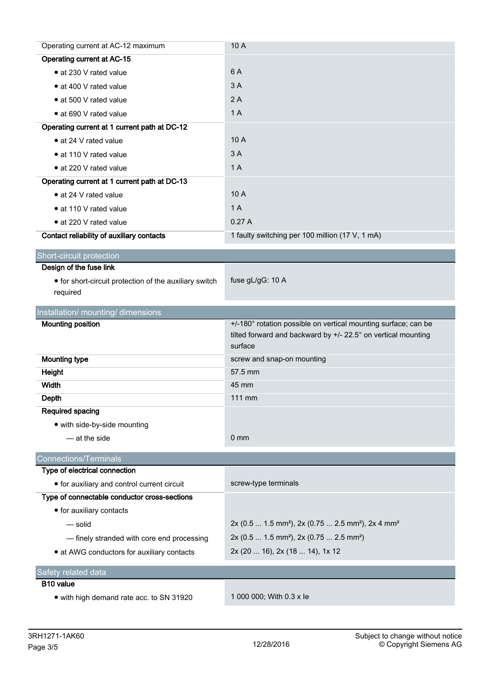| Operating current at AC-12 maximum                     | 10 A                                                                                                                            |  |  |  |
|--------------------------------------------------------|---------------------------------------------------------------------------------------------------------------------------------|--|--|--|
| <b>Operating current at AC-15</b>                      |                                                                                                                                 |  |  |  |
| • at 230 V rated value                                 | 6 A                                                                                                                             |  |  |  |
| • at 400 V rated value                                 | 3A                                                                                                                              |  |  |  |
| • at 500 V rated value                                 | 2A                                                                                                                              |  |  |  |
| • at 690 V rated value                                 | 1A                                                                                                                              |  |  |  |
| Operating current at 1 current path at DC-12           |                                                                                                                                 |  |  |  |
| • at 24 V rated value                                  | 10A                                                                                                                             |  |  |  |
| • at 110 V rated value                                 | 3A                                                                                                                              |  |  |  |
| • at 220 V rated value                                 | 1A                                                                                                                              |  |  |  |
| Operating current at 1 current path at DC-13           |                                                                                                                                 |  |  |  |
| • at 24 V rated value                                  | 10A                                                                                                                             |  |  |  |
| • at 110 V rated value                                 | 1A                                                                                                                              |  |  |  |
| • at 220 V rated value                                 | 0.27A                                                                                                                           |  |  |  |
| Contact reliability of auxiliary contacts              | 1 faulty switching per 100 million (17 V, 1 mA)                                                                                 |  |  |  |
| <b>Short-circuit protection</b>                        |                                                                                                                                 |  |  |  |
| Design of the fuse link                                |                                                                                                                                 |  |  |  |
| • for short-circuit protection of the auxiliary switch | fuse gL/gG: 10 A                                                                                                                |  |  |  |
| required                                               |                                                                                                                                 |  |  |  |
| Installation/ mounting/ dimensions                     |                                                                                                                                 |  |  |  |
|                                                        |                                                                                                                                 |  |  |  |
|                                                        |                                                                                                                                 |  |  |  |
| <b>Mounting position</b>                               | +/-180° rotation possible on vertical mounting surface; can be<br>tilted forward and backward by +/- 22.5° on vertical mounting |  |  |  |
|                                                        | surface                                                                                                                         |  |  |  |
| <b>Mounting type</b>                                   | screw and snap-on mounting                                                                                                      |  |  |  |
| Height                                                 | 57.5 mm                                                                                                                         |  |  |  |
| Width                                                  | 45 mm                                                                                                                           |  |  |  |
| Depth                                                  | 111 mm                                                                                                                          |  |  |  |
| <b>Required spacing</b>                                |                                                                                                                                 |  |  |  |
| • with side-by-side mounting                           |                                                                                                                                 |  |  |  |
| - at the side                                          | 0 <sub>mm</sub>                                                                                                                 |  |  |  |
| <b>Connections/Terminals</b>                           |                                                                                                                                 |  |  |  |
| Type of electrical connection                          |                                                                                                                                 |  |  |  |
| • for auxiliary and control current circuit            | screw-type terminals                                                                                                            |  |  |  |
| Type of connectable conductor cross-sections           |                                                                                                                                 |  |  |  |
| • for auxiliary contacts                               |                                                                                                                                 |  |  |  |
| - solid                                                | 2x (0.5  1.5 mm <sup>2</sup> ), 2x (0.75  2.5 mm <sup>2</sup> ), 2x 4 mm <sup>2</sup>                                           |  |  |  |
| - finely stranded with core end processing             | 2x (0.5  1.5 mm <sup>2</sup> ), 2x (0.75  2.5 mm <sup>2</sup> )                                                                 |  |  |  |
| • at AWG conductors for auxiliary contacts             | 2x (20  16), 2x (18  14), 1x 12                                                                                                 |  |  |  |
|                                                        |                                                                                                                                 |  |  |  |
| Safety related data<br>B <sub>10</sub> value           |                                                                                                                                 |  |  |  |
| • with high demand rate acc. to SN 31920               | 1 000 000; With 0.3 x le                                                                                                        |  |  |  |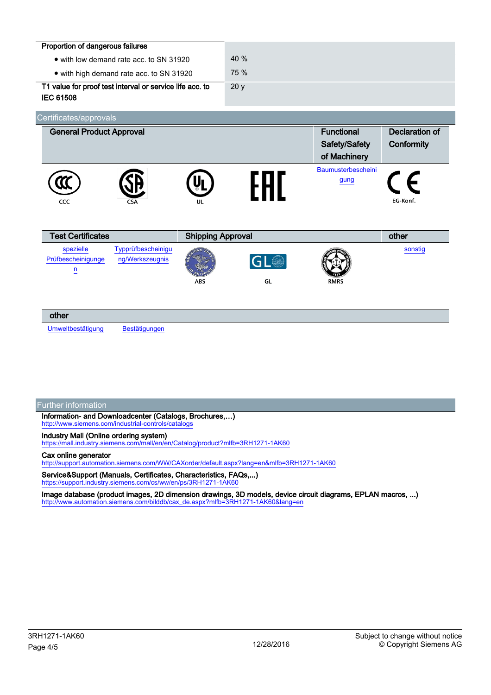| Proportion of dangerous failures<br>• with low demand rate acc. to SN 31920<br>• with high demand rate acc. to SN 31920<br>T1 value for proof test interval or service life acc. to<br><b>IEC 61508</b> |                                        | 40 %<br>75 %<br>20y |                                                    |                                     |
|---------------------------------------------------------------------------------------------------------------------------------------------------------------------------------------------------------|----------------------------------------|---------------------|----------------------------------------------------|-------------------------------------|
| Certificates/approvals<br><b>General Product Approval</b>                                                                                                                                               |                                        |                     | <b>Functional</b><br>Safety/Safety<br>of Machinery | <b>Declaration of</b><br>Conformity |
| CCC                                                                                                                                                                                                     | UL                                     | 991                 | Baumusterbescheini<br>gung                         | EG-Konf.                            |
| <b>Test Certificates</b><br>Typprüfbescheinigu<br>spezielle<br>Prüfbescheinigunge<br>ng/Werkszeugnis<br>n                                                                                               | <b>Shipping Approval</b><br><b>ABS</b> | GL                  | <b>RMRS</b>                                        | other<br>sonstig                    |

## other

[Umweltbestätigung](https://support.industry.siemens.com/cs/WW/en/ps/3RH1271-1AK60/Certificate?ct=447&ci=498&cao=553) [Bestätigungen](https://support.industry.siemens.com/cs/WW/en/ps/3RH1271-1AK60/Certificate?ct=447&ci=454&cao=553)

### Further information

Information- and Downloadcenter (Catalogs, Brochures,…) <http://www.siemens.com/industrial-controls/catalogs>

### Industry Mall (Online ordering system)

<https://mall.industry.siemens.com/mall/en/en/Catalog/product?mlfb=3RH1271-1AK60>

### Cax online generator

<http://support.automation.siemens.com/WW/CAXorder/default.aspx?lang=en&mlfb=3RH1271-1AK60>

Service&Support (Manuals, Certificates, Characteristics, FAQs,...) <https://support.industry.siemens.com/cs/ww/en/ps/3RH1271-1AK60>

Image database (product images, 2D dimension drawings, 3D models, device circuit diagrams, EPLAN macros, ...) [http://www.automation.siemens.com/bilddb/cax\\_de.aspx?mlfb=3RH1271-1AK60&lang=en](http://www.automation.siemens.com/bilddb/cax_de.aspx?mlfb=3RH1271-1AK60&lang=en)